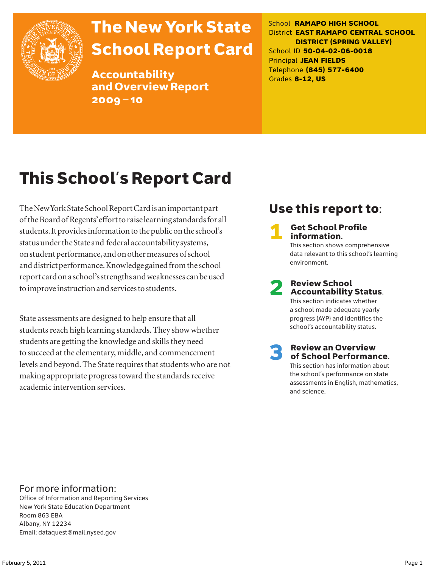

# The New York State School Report Card

Accountability and Overview Report 2009–10

School **RAMAPO HIGH SCHOOL** District **EAST RAMAPO CENTRAL SCHOOL DISTRICT (SPRING VALLEY)** School ID **50-04-02-06-0018** Principal **JEAN FIELDS** Telephone **(845) 577-6400** Grades **8-12, US**

# This School's Report Card

The New York State School Report Card is an important part of the Board of Regents' effort to raise learning standards for all students. It provides information to the public on the school's status under the State and federal accountability systems, on student performance, and on other measures of school and district performance. Knowledge gained from the school report card on a school's strengths and weaknesses can be used to improve instruction and services to students.

State assessments are designed to help ensure that all students reach high learning standards. They show whether students are getting the knowledge and skills they need to succeed at the elementary, middle, and commencement levels and beyond. The State requires that students who are not making appropriate progress toward the standards receive academic intervention services.

### Use this report to:

**Get School Profile** information. This section shows comprehensive data relevant to this school's learning environment.

# 2 Review School Accountability Status.

This section indicates whether a school made adequate yearly progress (AYP) and identifies the school's accountability status.

3 Review an Overview of School Performance. This section has information about

the school's performance on state assessments in English, mathematics, and science.

### For more information:

Office of Information and Reporting Services New York State Education Department Room 863 EBA Albany, NY 12234 Email: dataquest@mail.nysed.gov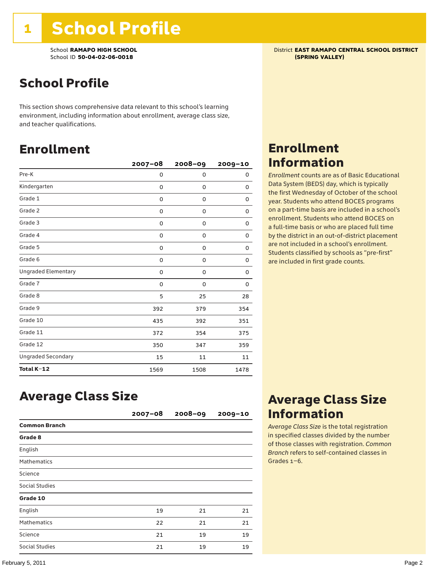School **RAMAPO HIGH SCHOOL**<br>School ID 50-04-02-06-0018<br>**School ID 50-04-02-06-0018** School ID 50-04-02-06-0018

### School Profile

This section shows comprehensive data relevant to this school's learning environment, including information about enrollment, average class size, and teacher qualifications.

### Enrollment

|                            | $2007 - 08$ | $2008 - 09$ | 2009-10 |
|----------------------------|-------------|-------------|---------|
| Pre-K                      | 0           | 0           | 0       |
| Kindergarten               | 0           | 0           | 0       |
| Grade 1                    | 0           | 0           | 0       |
| Grade 2                    | 0           | 0           | 0       |
| Grade 3                    | 0           | 0           | 0       |
| Grade 4                    | 0           | 0           | 0       |
| Grade 5                    | 0           | 0           | 0       |
| Grade 6                    | 0           | 0           | 0       |
| <b>Ungraded Elementary</b> | 0           | 0           | 0       |
| Grade 7                    | 0           | 0           | 0       |
| Grade 8                    | 5           | 25          | 28      |
| Grade 9                    | 392         | 379         | 354     |
| Grade 10                   | 435         | 392         | 351     |
| Grade 11                   | 372         | 354         | 375     |
| Grade 12                   | 350         | 347         | 359     |
| <b>Ungraded Secondary</b>  | 15          | 11          | 11      |
| Total K-12                 | 1569        | 1508        | 1478    |

### Enrollment Information

*Enrollment* counts are as of Basic Educational Data System (BEDS) day, which is typically the first Wednesday of October of the school year. Students who attend BOCES programs on a part-time basis are included in a school's enrollment. Students who attend BOCES on a full-time basis or who are placed full time by the district in an out-of-district placement are not included in a school's enrollment. Students classified by schools as "pre-first" are included in first grade counts.

### Average Class Size

|                      | $2007 - 08$ | $2008 - 09$ | $2009 - 10$ |
|----------------------|-------------|-------------|-------------|
| <b>Common Branch</b> |             |             |             |
| Grade 8              |             |             |             |
| English              |             |             |             |
| <b>Mathematics</b>   |             |             |             |
| Science              |             |             |             |
| Social Studies       |             |             |             |
| Grade 10             |             |             |             |
| English              | 19          | 21          | 21          |
| <b>Mathematics</b>   | 22          | 21          | 21          |
| Science              | 21          | 19          | 19          |
| Social Studies       | 21          | 19          | 19          |

### Average Class Size Information

*Average Class Size* is the total registration in specified classes divided by the number of those classes with registration. *Common Branch* refers to self-contained classes in Grades 1–6.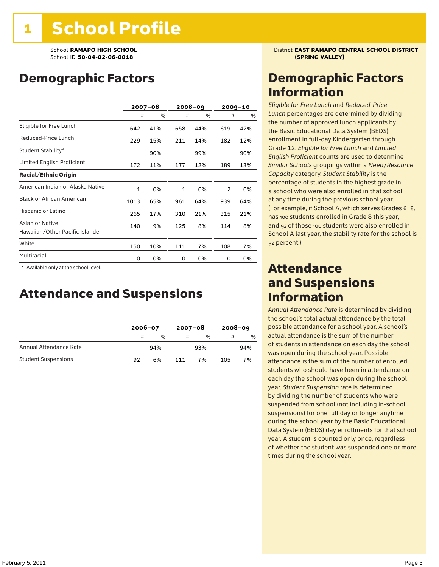### Demographic Factors

|                                                    | $2007 - 08$  |     |              | $2008 - 09$ |     | $2009 - 10$ |  |
|----------------------------------------------------|--------------|-----|--------------|-------------|-----|-------------|--|
|                                                    | #            | %   | #            | %           | #   | %           |  |
| Eligible for Free Lunch                            | 642          | 41% | 658          | 44%         | 619 | 42%         |  |
| Reduced-Price Lunch                                | 229          | 15% | 211          | 14%         | 182 | 12%         |  |
| Student Stability*                                 |              | 90% |              | 99%         |     | 90%         |  |
| Limited English Proficient                         | 172          | 11% | 177          | 12%         | 189 | 13%         |  |
| <b>Racial/Ethnic Origin</b>                        |              |     |              |             |     |             |  |
| American Indian or Alaska Native                   | $\mathbf{1}$ | 0%  | $\mathbf{1}$ | 0%          | 2   | 0%          |  |
| <b>Black or African American</b>                   | 1013         | 65% | 961          | 64%         | 939 | 64%         |  |
| Hispanic or Latino                                 | 265          | 17% | 310          | 21%         | 315 | 21%         |  |
| Asian or Native<br>Hawaiian/Other Pacific Islander | 140          | 9%  | 125          | 8%          | 114 | 8%          |  |
| White                                              | 150          | 10% | 111          | 7%          | 108 | 7%          |  |
| Multiracial                                        | 0            | 0%  | 0            | 0%          | 0   | 0%          |  |

 \* Available only at the school level.

### Attendance and Suspensions

|                            |    | $2006 - 07$ |     | $2007 - 08$   |     | $2008 - 09$ |  |
|----------------------------|----|-------------|-----|---------------|-----|-------------|--|
|                            | #  | $\%$        | #   | $\frac{0}{6}$ | #   | %           |  |
| Annual Attendance Rate     |    | 94%         |     | 93%           |     | 94%         |  |
| <b>Student Suspensions</b> | 92 | 6%          | 111 | 7%            | 105 | 7%          |  |

School **RAMAPO HIGH SCHOOL** District **EAST RAMAPO CENTRAL SCHOOL DISTRICT**

### Demographic Factors Information

*Eligible for Free Lunch* and *Reduced*-*Price Lunch* percentages are determined by dividing the number of approved lunch applicants by the Basic Educational Data System (BEDS) enrollment in full-day Kindergarten through Grade 12. *Eligible for Free Lunch* and *Limited English Proficient* counts are used to determine *Similar Schools* groupings within a *Need*/*Resource Capacity* category. *Student Stability* is the percentage of students in the highest grade in a school who were also enrolled in that school at any time during the previous school year. (For example, if School A, which serves Grades 6–8, has 100 students enrolled in Grade 8 this year, and 92 of those 100 students were also enrolled in School A last year, the stability rate for the school is 92 percent.)

### Attendance and Suspensions Information

*Annual Attendance Rate* is determined by dividing the school's total actual attendance by the total possible attendance for a school year. A school's actual attendance is the sum of the number of students in attendance on each day the school was open during the school year. Possible attendance is the sum of the number of enrolled students who should have been in attendance on each day the school was open during the school year. *Student Suspension* rate is determined by dividing the number of students who were suspended from school (not including in-school suspensions) for one full day or longer anytime during the school year by the Basic Educational Data System (BEDS) day enrollments for that school year. A student is counted only once, regardless of whether the student was suspended one or more times during the school year.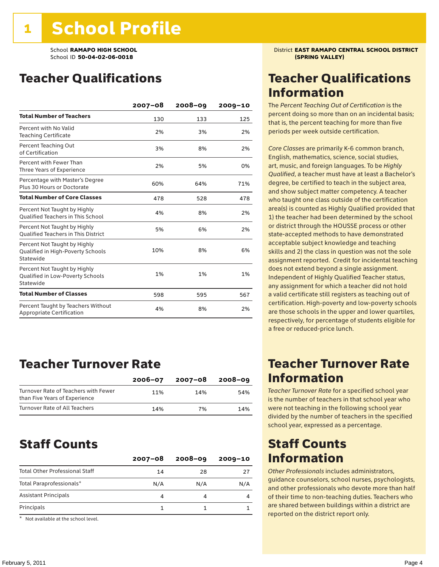### Teacher Qualifications

|                                                                                | $2007 - 08$ | 2008-09 | $2009 - 10$ |
|--------------------------------------------------------------------------------|-------------|---------|-------------|
| <b>Total Number of Teachers</b>                                                | 130         | 133     | 125         |
| Percent with No Valid<br><b>Teaching Certificate</b>                           | 2%          | 3%      | 2%          |
| Percent Teaching Out<br>of Certification                                       | 3%          | 8%      | 2%          |
| Percent with Fewer Than<br>Three Years of Experience                           | 2%          | 5%      | 0%          |
| Percentage with Master's Degree<br>Plus 30 Hours or Doctorate                  | 60%         | 64%     | 71%         |
| <b>Total Number of Core Classes</b>                                            | 478         | 528     | 478         |
| Percent Not Taught by Highly<br><b>Oualified Teachers in This School</b>       | 4%          | 8%      | 2%          |
| Percent Not Taught by Highly<br><b>Oualified Teachers in This District</b>     | 5%          | 6%      | 2%          |
| Percent Not Taught by Highly<br>Qualified in High-Poverty Schools<br>Statewide | 10%         | 8%      | 6%          |
| Percent Not Taught by Highly<br>Qualified in Low-Poverty Schools<br>Statewide  | 1%          | 1%      | 1%          |
| <b>Total Number of Classes</b>                                                 | 598         | 595     | 567         |
| Percent Taught by Teachers Without<br>Appropriate Certification                | 4%          | 8%      | 2%          |

### Teacher Turnover Rate

|                                                                       | $2006 - 07$ | 2007-08 | 2008-09 |
|-----------------------------------------------------------------------|-------------|---------|---------|
| Turnover Rate of Teachers with Fewer<br>than Five Years of Experience | 11%         | 14%     | 54%     |
| Turnover Rate of All Teachers                                         | 14%         | 7%      | 14%     |

### Staff Counts

|                                       | $2007 - 08$ | $2008 - 09$ | $2009 - 10$ |
|---------------------------------------|-------------|-------------|-------------|
| <b>Total Other Professional Staff</b> | 14          | 28          | 27          |
| Total Paraprofessionals*              | N/A         | N/A         | N/A         |
| <b>Assistant Principals</b>           |             |             |             |
| Principals                            |             |             |             |

\* Not available at the school level.

School **RAMAPO HIGH SCHOOL** District **EAST RAMAPO CENTRAL SCHOOL DISTRICT**

### Teacher Qualifications Information

The *Percent Teaching Out of Certification* is the percent doing so more than on an incidental basis; that is, the percent teaching for more than five periods per week outside certification.

*Core Classes* are primarily K-6 common branch, English, mathematics, science, social studies, art, music, and foreign languages. To be *Highly Qualified*, a teacher must have at least a Bachelor's degree, be certified to teach in the subject area, and show subject matter competency. A teacher who taught one class outside of the certification area(s) is counted as Highly Qualified provided that 1) the teacher had been determined by the school or district through the HOUSSE process or other state-accepted methods to have demonstrated acceptable subject knowledge and teaching skills and 2) the class in question was not the sole assignment reported. Credit for incidental teaching does not extend beyond a single assignment. Independent of Highly Qualified Teacher status, any assignment for which a teacher did not hold a valid certificate still registers as teaching out of certification. High-poverty and low-poverty schools are those schools in the upper and lower quartiles, respectively, for percentage of students eligible for a free or reduced-price lunch.

### Teacher Turnover Rate Information

*Teacher Turnover Rate* for a specified school year is the number of teachers in that school year who were not teaching in the following school year divided by the number of teachers in the specified school year, expressed as a percentage.

### Staff Counts Information

*Other Professionals* includes administrators, guidance counselors, school nurses, psychologists, and other professionals who devote more than half of their time to non-teaching duties. Teachers who are shared between buildings within a district are reported on the district report only.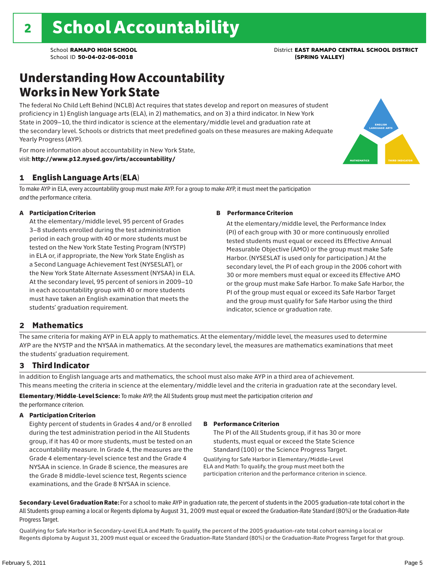english language arts

MATHEMATICS THIRD INDICATOR

### Understanding How Accountability Works in New York State

The federal No Child Left Behind (NCLB) Act requires that states develop and report on measures of student proficiency in 1) English language arts (ELA), in 2) mathematics, and on 3) a third indicator. In New York State in 2009–10, the third indicator is science at the elementary/middle level and graduation rate at the secondary level. Schools or districts that meet predefined goals on these measures are making Adequate Yearly Progress (AYP).



### 1 English Language Arts (ELA)

To make AYP in ELA, every accountability group must make AYP. For a group to make AYP, it must meet the participation *and* the performance criteria.

#### A Participation Criterion

At the elementary/middle level, 95 percent of Grades 3–8 students enrolled during the test administration period in each group with 40 or more students must be tested on the New York State Testing Program (NYSTP) in ELA or, if appropriate, the New York State English as a Second Language Achievement Test (NYSESLAT), or the New York State Alternate Assessment (NYSAA) in ELA. At the secondary level, 95 percent of seniors in 2009–10 in each accountability group with 40 or more students must have taken an English examination that meets the students' graduation requirement.

#### B Performance Criterion

At the elementary/middle level, the Performance Index (PI) of each group with 30 or more continuously enrolled tested students must equal or exceed its Effective Annual Measurable Objective (AMO) or the group must make Safe Harbor. (NYSESLAT is used only for participation.) At the secondary level, the PI of each group in the 2006 cohort with 30 or more members must equal or exceed its Effective AMO or the group must make Safe Harbor. To make Safe Harbor, the PI of the group must equal or exceed its Safe Harbor Target and the group must qualify for Safe Harbor using the third indicator, science or graduation rate.

#### 2 Mathematics

The same criteria for making AYP in ELA apply to mathematics. At the elementary/middle level, the measures used to determine AYP are the NYSTP and the NYSAA in mathematics. At the secondary level, the measures are mathematics examinations that meet the students' graduation requirement.

#### 3 Third Indicator

In addition to English language arts and mathematics, the school must also make AYP in a third area of achievement. This means meeting the criteria in science at the elementary/middle level and the criteria in graduation rate at the secondary level.

Elementary/Middle-Level Science: To make AYP, the All Students group must meet the participation criterion *and* the performance criterion.

#### A Participation Criterion

Eighty percent of students in Grades 4 and/or 8 enrolled during the test administration period in the All Students group, if it has 40 or more students, must be tested on an accountability measure. In Grade 4, the measures are the Grade 4 elementary-level science test and the Grade 4 NYSAA in science. In Grade 8 science, the measures are the Grade 8 middle-level science test, Regents science examinations, and the Grade 8 NYSAA in science.

#### B Performance Criterion

The PI of the All Students group, if it has 30 or more students, must equal or exceed the State Science Standard (100) or the Science Progress Target.

Qualifying for Safe Harbor in Elementary/Middle-Level ELA and Math: To qualify, the group must meet both the participation criterion and the performance criterion in science.

Secondary-Level Graduation Rate: For a school to make AYP in graduation rate, the percent of students in the 2005 graduation-rate total cohort in the All Students group earning a local or Regents diploma by August 31, 2009 must equal or exceed the Graduation-Rate Standard (80%) or the Graduation-Rate Progress Target.

Qualifying for Safe Harbor in Secondary-Level ELA and Math: To qualify, the percent of the 2005 graduation-rate total cohort earning a local or Regents diploma by August 31, 2009 must equal or exceed the Graduation-Rate Standard (80%) or the Graduation-Rate Progress Target for that group.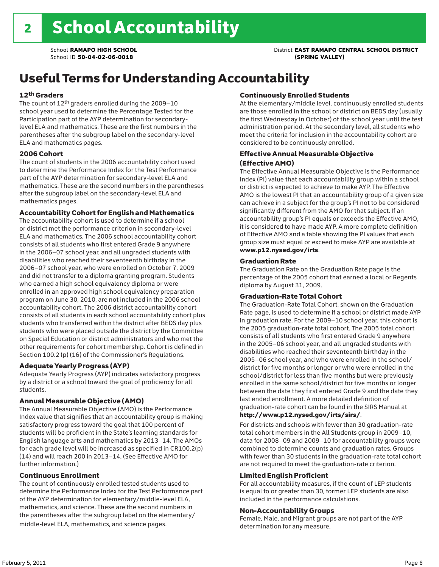### School **RAMAPO HIGH SCHOOL** District **EAST RAMAPO CENTRAL SCHOOL DISTRICT**

### Useful Terms for Understanding Accountability

#### 12th Graders

The count of 12th graders enrolled during the 2009–10 school year used to determine the Percentage Tested for the Participation part of the AYP determination for secondarylevel ELA and mathematics. These are the first numbers in the parentheses after the subgroup label on the secondary-level ELA and mathematics pages.

#### 2006 Cohort

The count of students in the 2006 accountability cohort used to determine the Performance Index for the Test Performance part of the AYP determination for secondary-level ELA and mathematics. These are the second numbers in the parentheses after the subgroup label on the secondary-level ELA and mathematics pages.

#### Accountability Cohort for English and Mathematics

The accountability cohort is used to determine if a school or district met the performance criterion in secondary-level ELA and mathematics. The 2006 school accountability cohort consists of all students who first entered Grade 9 anywhere in the 2006–07 school year, and all ungraded students with disabilities who reached their seventeenth birthday in the 2006–07 school year, who were enrolled on October 7, 2009 and did not transfer to a diploma granting program. Students who earned a high school equivalency diploma or were enrolled in an approved high school equivalency preparation program on June 30, 2010, are not included in the 2006 school accountability cohort. The 2006 district accountability cohort consists of all students in each school accountability cohort plus students who transferred within the district after BEDS day plus students who were placed outside the district by the Committee on Special Education or district administrators and who met the other requirements for cohort membership. Cohort is defined in Section 100.2 (p) (16) of the Commissioner's Regulations.

#### Adequate Yearly Progress (AYP)

Adequate Yearly Progress (AYP) indicates satisfactory progress by a district or a school toward the goal of proficiency for all students.

#### Annual Measurable Objective (AMO)

The Annual Measurable Objective (AMO) is the Performance Index value that signifies that an accountability group is making satisfactory progress toward the goal that 100 percent of students will be proficient in the State's learning standards for English language arts and mathematics by 2013–14. The AMOs for each grade level will be increased as specified in CR100.2(p) (14) and will reach 200 in 2013–14. (See Effective AMO for further information.)

#### Continuous Enrollment

The count of continuously enrolled tested students used to determine the Performance Index for the Test Performance part of the AYP determination for elementary/middle-level ELA, mathematics, and science. These are the second numbers in the parentheses after the subgroup label on the elementary/ middle-level ELA, mathematics, and science pages.

#### Continuously Enrolled Students

At the elementary/middle level, continuously enrolled students are those enrolled in the school or district on BEDS day (usually the first Wednesday in October) of the school year until the test administration period. At the secondary level, all students who meet the criteria for inclusion in the accountability cohort are considered to be continuously enrolled.

#### Effective Annual Measurable Objective (Effective AMO)

The Effective Annual Measurable Objective is the Performance Index (PI) value that each accountability group within a school or district is expected to achieve to make AYP. The Effective AMO is the lowest PI that an accountability group of a given size can achieve in a subject for the group's PI not to be considered significantly different from the AMO for that subject. If an accountability group's PI equals or exceeds the Effective AMO, it is considered to have made AYP. A more complete definition of Effective AMO and a table showing the PI values that each group size must equal or exceed to make AYP are available at www.p12.nysed.gov/irts.

#### Graduation Rate

The Graduation Rate on the Graduation Rate page is the percentage of the 2005 cohort that earned a local or Regents diploma by August 31, 2009.

#### Graduation-Rate Total Cohort

The Graduation-Rate Total Cohort, shown on the Graduation Rate page, is used to determine if a school or district made AYP in graduation rate. For the 2009–10 school year, this cohort is the 2005 graduation-rate total cohort. The 2005 total cohort consists of all students who first entered Grade 9 anywhere in the 2005–06 school year, and all ungraded students with disabilities who reached their seventeenth birthday in the 2005–06 school year, and who were enrolled in the school/ district for five months or longer or who were enrolled in the school/district for less than five months but were previously enrolled in the same school/district for five months or longer between the date they first entered Grade 9 and the date they last ended enrollment. A more detailed definition of graduation-rate cohort can be found in the SIRS Manual at

#### http://www.p12.nysed.gov/irts/sirs/.

For districts and schools with fewer than 30 graduation-rate total cohort members in the All Students group in 2009–10, data for 2008–09 and 2009–10 for accountability groups were combined to determine counts and graduation rates. Groups with fewer than 30 students in the graduation-rate total cohort are not required to meet the graduation-rate criterion.

#### Limited English Proficient

For all accountability measures, if the count of LEP students is equal to or greater than 30, former LEP students are also included in the performance calculations.

#### Non-Accountability Groups

Female, Male, and Migrant groups are not part of the AYP determination for any measure.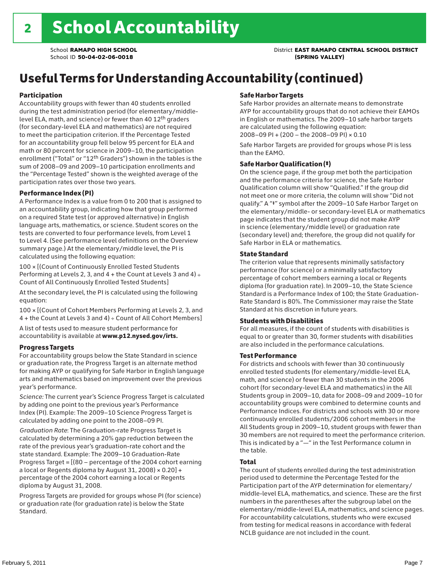School **RAMAPO HIGH SCHOOL** District **EAST RAMAPO CENTRAL SCHOOL DISTRICT**

## Useful Terms for Understanding Accountability (continued)

#### Participation

Accountability groups with fewer than 40 students enrolled during the test administration period (for elementary/middlelevel ELA, math, and science) or fewer than 40 12th graders (for secondary-level ELA and mathematics) are not required to meet the participation criterion. If the Percentage Tested for an accountability group fell below 95 percent for ELA and math or 80 percent for science in 2009–10, the participation enrollment ("Total" or "12th Graders") shown in the tables is the sum of 2008–09 and 2009–10 participation enrollments and the "Percentage Tested" shown is the weighted average of the participation rates over those two years.

#### Performance Index (PI)

A Performance Index is a value from 0 to 200 that is assigned to an accountability group, indicating how that group performed on a required State test (or approved alternative) in English language arts, mathematics, or science. Student scores on the tests are converted to four performance levels, from Level 1 to Level 4. (See performance level definitions on the Overview summary page.) At the elementary/middle level, the PI is calculated using the following equation:

100 × [(Count of Continuously Enrolled Tested Students Performing at Levels 2, 3, and  $4 +$  the Count at Levels 3 and  $4) \div$ Count of All Continuously Enrolled Tested Students]

At the secondary level, the PI is calculated using the following equation:

100 × [(Count of Cohort Members Performing at Levels 2, 3, and 4 + the Count at Levels 3 and 4) ÷ Count of All Cohort Members]

A list of tests used to measure student performance for accountability is available at www.p12.nysed.gov/irts.

#### Progress Targets

For accountability groups below the State Standard in science or graduation rate, the Progress Target is an alternate method for making AYP or qualifying for Safe Harbor in English language arts and mathematics based on improvement over the previous year's performance.

*Science:* The current year's Science Progress Target is calculated by adding one point to the previous year's Performance Index (PI). Example: The 2009–10 Science Progress Target is calculated by adding one point to the 2008–09 PI.

*Graduation Rate*: The Graduation-rate Progress Target is calculated by determining a 20% gap reduction between the rate of the previous year's graduation-rate cohort and the state standard. Example: The 2009–10 Graduation-Rate Progress Target = [(80 – percentage of the 2004 cohort earning a local or Regents diploma by August 31, 2008)  $\times$  0.20] + percentage of the 2004 cohort earning a local or Regents diploma by August 31, 2008.

Progress Targets are provided for groups whose PI (for science) or graduation rate (for graduation rate) is below the State Standard.

#### Safe Harbor Targets

Safe Harbor provides an alternate means to demonstrate AYP for accountability groups that do not achieve their EAMOs in English or mathematics. The 2009–10 safe harbor targets are calculated using the following equation: 2008–09 PI + (200 – the 2008–09 PI) × 0.10

Safe Harbor Targets are provided for groups whose PI is less than the EAMO.

#### Safe Harbor Qualification (‡)

On the science page, if the group met both the participation and the performance criteria for science, the Safe Harbor Qualification column will show "Qualified." If the group did not meet one or more criteria, the column will show "Did not qualify." A "‡" symbol after the 2009–10 Safe Harbor Target on the elementary/middle- or secondary-level ELA or mathematics page indicates that the student group did not make AYP in science (elementary/middle level) or graduation rate (secondary level) and; therefore, the group did not qualify for Safe Harbor in ELA or mathematics.

#### State Standard

The criterion value that represents minimally satisfactory performance (for science) or a minimally satisfactory percentage of cohort members earning a local or Regents diploma (for graduation rate). In 2009–10, the State Science Standard is a Performance Index of 100; the State Graduation-Rate Standard is 80%. The Commissioner may raise the State Standard at his discretion in future years.

#### Students with Disabilities

For all measures, if the count of students with disabilities is equal to or greater than 30, former students with disabilities are also included in the performance calculations.

#### Test Performance

For districts and schools with fewer than 30 continuously enrolled tested students (for elementary/middle-level ELA, math, and science) or fewer than 30 students in the 2006 cohort (for secondary-level ELA and mathematics) in the All Students group in 2009–10, data for 2008–09 and 2009–10 for accountability groups were combined to determine counts and Performance Indices. For districts and schools with 30 or more continuously enrolled students/2006 cohort members in the All Students group in 2009–10, student groups with fewer than 30 members are not required to meet the performance criterion. This is indicated by a "—" in the Test Performance column in the table.

#### Total

The count of students enrolled during the test administration period used to determine the Percentage Tested for the Participation part of the AYP determination for elementary/ middle-level ELA, mathematics, and science. These are the first numbers in the parentheses after the subgroup label on the elementary/middle-level ELA, mathematics, and science pages. For accountability calculations, students who were excused from testing for medical reasons in accordance with federal NCLB guidance are not included in the count.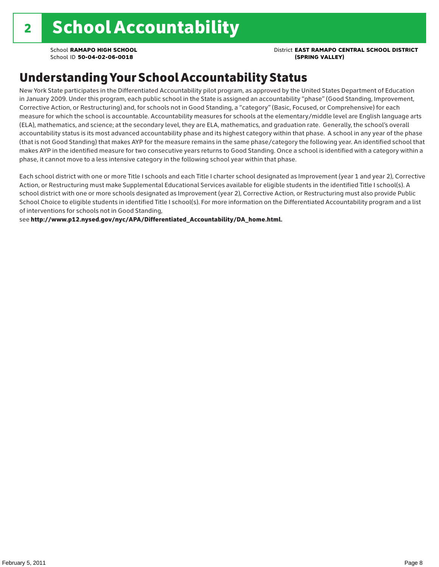### School **RAMAPO HIGH SCHOOL** District **EAST RAMAPO CENTRAL SCHOOL DISTRICT**

### Understanding Your School Accountability Status

New York State participates in the Differentiated Accountability pilot program, as approved by the United States Department of Education in January 2009. Under this program, each public school in the State is assigned an accountability "phase" (Good Standing, Improvement, Corrective Action, or Restructuring) and, for schools not in Good Standing, a "category" (Basic, Focused, or Comprehensive) for each measure for which the school is accountable. Accountability measures for schools at the elementary/middle level are English language arts (ELA), mathematics, and science; at the secondary level, they are ELA, mathematics, and graduation rate. Generally, the school's overall accountability status is its most advanced accountability phase and its highest category within that phase. A school in any year of the phase (that is not Good Standing) that makes AYP for the measure remains in the same phase/category the following year. An identified school that makes AYP in the identified measure for two consecutive years returns to Good Standing. Once a school is identified with a category within a phase, it cannot move to a less intensive category in the following school year within that phase.

Each school district with one or more Title I schools and each Title I charter school designated as Improvement (year 1 and year 2), Corrective Action, or Restructuring must make Supplemental Educational Services available for eligible students in the identified Title I school(s). A school district with one or more schools designated as Improvement (year 2), Corrective Action, or Restructuring must also provide Public School Choice to eligible students in identified Title I school(s). For more information on the Differentiated Accountability program and a list of interventions for schools not in Good Standing,

see http://www.p12.nysed.gov/nyc/APA/Differentiated\_Accountability/DA\_home.html.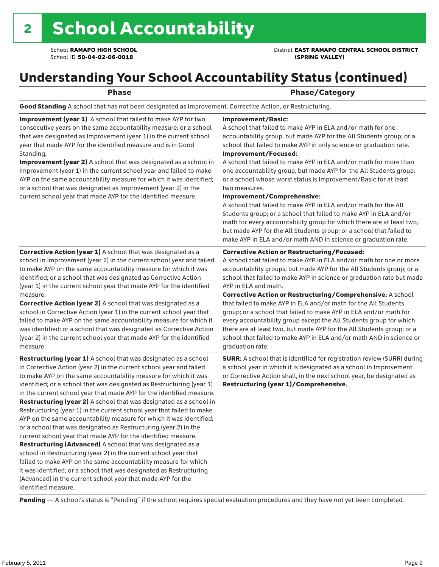School **RAMAPO HIGH SCHOOL** District **EAST RAMAPO CENTRAL SCHOOL DISTRICT**

### Understanding Your School Accountability Status (continued)

Phase **Phase** Phase/Category

Good Standing A school that has not been designated as Improvement, Corrective Action, or Restructuring.

Improvement (year 1) A school that failed to make AYP for two consecutive years on the same accountability measure; or a school that was designated as Improvement (year 1) in the current school year that made AYP for the identified measure and is in Good Standing.

Improvement (year 2) A school that was designated as a school in Improvement (year 1) in the current school year and failed to make AYP on the same accountability measure for which it was identified; or a school that was designated as Improvement (year 2) in the current school year that made AYP for the identified measure.

#### Improvement/Basic:

A school that failed to make AYP in ELA and/or math for one accountability group, but made AYP for the All Students group; or a school that failed to make AYP in only science or graduation rate. Improvement/Focused:

A school that failed to make AYP in ELA and/or math for more than one accountability group, but made AYP for the All Students group; or a school whose worst status is Improvement/Basic for at least two measures.

#### Improvement/Comprehensive:

A school that failed to make AYP in ELA and/or math for the All Students group; or a school that failed to make AYP in ELA and/or math for every accountability group for which there are at least two, but made AYP for the All Students group; or a school that failed to make AYP in ELA and/or math AND in science or graduation rate.

#### Corrective Action or Restructuring/Focused:

A school that failed to make AYP in ELA and/or math for one or more accountability groups, but made AYP for the All Students group; or a school that failed to make AYP in science or graduation rate but made AYP in ELA and math.

measure. Corrective Action (year 2) A school that was designated as a school in Corrective Action (year 1) in the current school year that failed to make AYP on the same accountability measure for which it was identified; or a school that was designated as Corrective Action (year 2) in the current school year that made AYP for the identified

Corrective Action (year 1) A school that was designated as a school in Improvement (year 2) in the current school year and failed to make AYP on the same accountability measure for which it was identified; or a school that was designated as Corrective Action (year 1) in the current school year that made AYP for the identified

Restructuring (year 1) A school that was designated as a school in Corrective Action (year 2) in the current school year and failed to make AYP on the same accountability measure for which it was identified; or a school that was designated as Restructuring (year 1) in the current school year that made AYP for the identified measure. Restructuring (year 2) A school that was designated as a school in Restructuring (year 1) in the current school year that failed to make AYP on the same accountability measure for which it was identified; or a school that was designated as Restructuring (year 2) in the current school year that made AYP for the identified measure. Restructuring (Advanced) A school that was designated as a school in Restructuring (year 2) in the current school year that failed to make AYP on the same accountability measure for which it was identified; or a school that was designated as Restructuring (Advanced) in the current school year that made AYP for the identified measure.

Corrective Action or Restructuring/Comprehensive: A school that failed to make AYP in ELA and/or math for the All Students group; or a school that failed to make AYP in ELA and/or math for every accountability group except the All Students group for which there are at least two, but made AYP for the All Students group; or a school that failed to make AYP in ELA and/or math AND in science or graduation rate.

SURR: A school that is identified for registration review (SURR) during a school year in which it is designated as a school in Improvement or Corrective Action shall, in the next school year, be designated as Restructuring (year 1)/Comprehensive.

Pending - A school's status is "Pending" if the school requires special evaluation procedures and they have not yet been completed.

measure.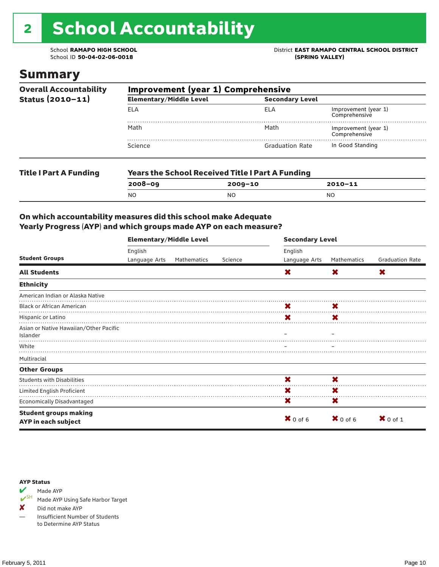# 2 School Accountability

School ID 50-04-02-06-0018

### Summary

| <b>Overall Accountability</b>                     | <b>Improvement (year 1) Comprehensive</b> |                                                         |                                       |  |  |  |
|---------------------------------------------------|-------------------------------------------|---------------------------------------------------------|---------------------------------------|--|--|--|
| Status (2010-11)<br><b>ELA</b><br>Math<br>Science | <b>Elementary/Middle Level</b>            |                                                         |                                       |  |  |  |
|                                                   |                                           | ELA                                                     |                                       |  |  |  |
|                                                   |                                           | Math                                                    | Improvement (year 1)<br>Comprehensive |  |  |  |
|                                                   |                                           | <b>Graduation Rate</b>                                  | In Good Standing                      |  |  |  |
| <b>Title I Part A Funding</b>                     |                                           | <b>Years the School Received Title I Part A Funding</b> |                                       |  |  |  |
|                                                   | $2008 - 09$                               | $2009 - 10$                                             | $2010 - 11$                           |  |  |  |

NO NO NO

#### On which accountability measures did this school make Adequate Yearly Progress (AYP) and which groups made AYP on each measure?

|                                                     | <b>Elementary/Middle Level</b> |             |         | <b>Secondary Level</b> |                     |                        |  |  |
|-----------------------------------------------------|--------------------------------|-------------|---------|------------------------|---------------------|------------------------|--|--|
| <b>Student Groups</b>                               | English                        |             |         | English                |                     |                        |  |  |
|                                                     | Language Arts                  | Mathematics | Science | Language Arts          | Mathematics         | <b>Graduation Rate</b> |  |  |
| <b>All Students</b>                                 |                                |             |         | X                      | X                   | X                      |  |  |
| <b>Ethnicity</b>                                    |                                |             |         |                        |                     |                        |  |  |
| American Indian or Alaska Native                    |                                |             |         |                        |                     |                        |  |  |
| <b>Black or African American</b>                    |                                |             |         | X                      | X                   |                        |  |  |
| Hispanic or Latino                                  |                                |             |         | X                      | X                   |                        |  |  |
| Asian or Native Hawaiian/Other Pacific<br>Islander  |                                |             |         |                        |                     |                        |  |  |
| White                                               |                                |             |         |                        |                     |                        |  |  |
| Multiracial                                         |                                |             |         |                        |                     |                        |  |  |
| <b>Other Groups</b>                                 |                                |             |         |                        |                     |                        |  |  |
| <b>Students with Disabilities</b>                   |                                |             |         | X                      | X                   |                        |  |  |
| Limited English Proficient                          |                                |             |         | X                      | X                   |                        |  |  |
| <b>Economically Disadvantaged</b>                   |                                |             |         | X                      | X                   |                        |  |  |
| <b>Student groups making</b><br>AYP in each subject |                                |             |         | $X$ 0 of 6             | $\mathbf{X}$ 0 of 6 | $X$ 0 of 1             |  |  |

#### AYP Status



Made AYP Using Safe Harbor Target

✘ Did not make AYP

— Insufficient Number of Students to Determine AYP Status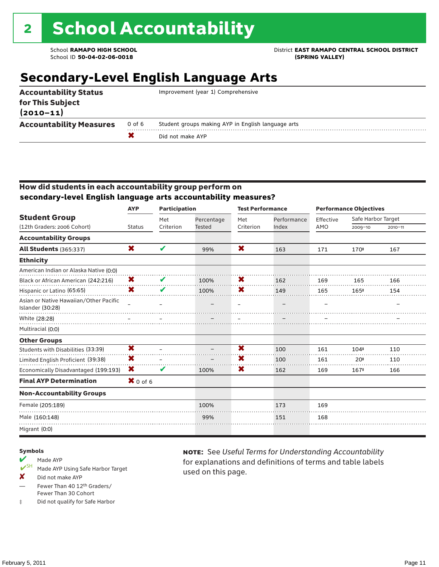School **RAMAPO HIGH SCHOOL** District **EAST RAMAPO CENTRAL SCHOOL DISTRICT**

### **Secondary-Level English Language Arts**

| <b>Accountability Status</b><br>for This Subject<br>$(2010 - 11)$ |        | Improvement (year 1) Comprehensive                 |
|-------------------------------------------------------------------|--------|----------------------------------------------------|
| <b>Accountability Measures</b>                                    | 0 of 6 | Student groups making AYP in English language arts |
|                                                                   |        | Did not make AYP                                   |
|                                                                   |        |                                                    |

#### How did students in each accountability group perform on **secondary-level English language arts accountability measures?**

|                                                            | <b>AYP</b>    | <b>Participation</b> |                             | <b>Test Performance</b> |                      |                  | <b>Performance Objectives</b>     |             |
|------------------------------------------------------------|---------------|----------------------|-----------------------------|-------------------------|----------------------|------------------|-----------------------------------|-------------|
| <b>Student Group</b><br>(12th Graders: 2006 Cohort)        | <b>Status</b> | Met<br>Criterion     | Percentage<br><b>Tested</b> | Met<br>Criterion        | Performance<br>Index | Effective<br>AMO | Safe Harbor Target<br>$2009 - 10$ | $2010 - 11$ |
|                                                            |               |                      |                             |                         |                      |                  |                                   |             |
| <b>Accountability Groups</b>                               |               |                      |                             |                         |                      |                  |                                   |             |
| <b>All Students (365:337)</b>                              | X             | V                    | 99%                         | X                       | 163                  | 171              | 170#                              | 167         |
| <b>Ethnicity</b>                                           |               |                      |                             |                         |                      |                  |                                   |             |
| American Indian or Alaska Native (0:0)                     |               |                      |                             |                         |                      |                  |                                   |             |
| Black or African American (242:216)                        | X             | V                    | 100%                        | X                       | 162                  | 169              | 165                               | 166         |
| Hispanic or Latino (65:65)                                 | X             | V                    | 100%                        | X                       | 149                  | 165              | 165#                              | 154         |
| Asian or Native Hawaiian/Other Pacific<br>Islander (30:28) |               |                      |                             |                         |                      |                  |                                   |             |
| White (28:28)                                              |               |                      |                             |                         |                      |                  |                                   |             |
| Multiracial (0:0)                                          |               |                      |                             |                         |                      |                  |                                   |             |
| <b>Other Groups</b>                                        |               |                      |                             |                         |                      |                  |                                   |             |
| Students with Disabilities (33:39)                         | X             |                      |                             | X                       | 100                  | 161              | 104#                              | 110         |
| Limited English Proficient (39:38)                         | X             |                      |                             | x                       | 100                  | 161              | 20#                               | 110         |
| Economically Disadvantaged (199:193)                       | X             | V                    | 100%                        | X                       | 162                  | 169              | 167#                              | 166         |
| <b>Final AYP Determination</b>                             | $X$ 0 of 6    |                      |                             |                         |                      |                  |                                   |             |
| <b>Non-Accountability Groups</b>                           |               |                      |                             |                         |                      |                  |                                   |             |
| Female (205:189)                                           |               |                      | 100%                        |                         | 173                  | 169              |                                   |             |
| Male (160:148)                                             |               |                      | 99%                         |                         | 151                  | 168              |                                   |             |
| Migrant (0:0)                                              |               |                      |                             |                         |                      |                  |                                   |             |

#### Symbols

- Made AYP Made AYP Using Safe Harbor Target
- X Did not make AYP
- Fewer Than 40 12th Graders/ Fewer Than 30 Cohort
- ‡ Did not qualify for Safe Harbor

note: See *Useful Terms for Understanding Accountability*  for explanations and definitions of terms and table labels used on this page.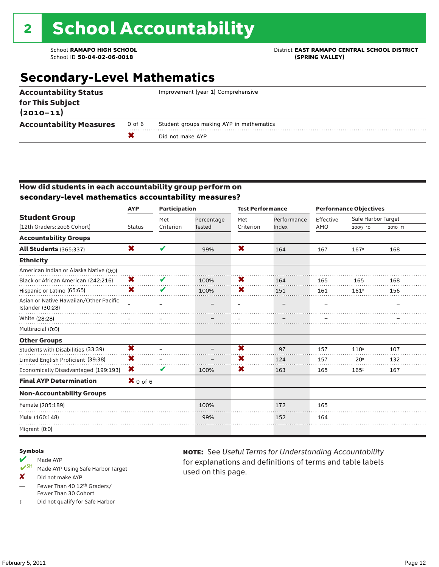# 2 School Accountability

School ID 50-04-02-06-0018

### School **RAMAPO HIGH SCHOOL**<br>School ID 50-04-02-06-0018<br>
School ID 50-04-02-06-0018

### **Secondary-Level Mathematics**

| <b>Accountability Measures</b>                   | 0 of 6 | Student groups making AYP in mathematics<br>Did not make AYP |
|--------------------------------------------------|--------|--------------------------------------------------------------|
| $(2010 - 11)$                                    |        |                                                              |
| <b>Accountability Status</b><br>for This Subject |        | Improvement (year 1) Comprehensive                           |

#### How did students in each accountability group perform on **secondary-level mathematics accountability measures?**

|                                                            | <b>AYP</b>    | <b>Participation</b> |               | <b>Test Performance</b> |             |           | <b>Performance Objectives</b> |             |
|------------------------------------------------------------|---------------|----------------------|---------------|-------------------------|-------------|-----------|-------------------------------|-------------|
| <b>Student Group</b>                                       |               | Met                  | Percentage    | Met                     | Performance | Effective | Safe Harbor Target            |             |
| (12th Graders: 2006 Cohort)                                | <b>Status</b> | Criterion            | <b>Tested</b> | Criterion               | Index       | AMO       | $2009 - 10$                   | $2010 - 11$ |
| <b>Accountability Groups</b>                               |               |                      |               |                         |             |           |                               |             |
| <b>All Students (365:337)</b>                              | X             | V                    | 99%           | X                       | 164         | 167       | 167#                          | 168         |
| <b>Ethnicity</b>                                           |               |                      |               |                         |             |           |                               |             |
| American Indian or Alaska Native (0:0)                     |               |                      |               |                         |             |           |                               |             |
| Black or African American (242:216)                        | X             | V                    | 100%          | X                       | 164         | 165       | 165                           | 168         |
| Hispanic or Latino (65:65)                                 | X             | V                    | 100%          | X                       | 151         | 161       | 161#                          | 156         |
| Asian or Native Hawaiian/Other Pacific<br>Islander (30:28) |               |                      |               |                         |             |           |                               |             |
| White (28:28)                                              |               |                      |               |                         |             |           |                               |             |
| Multiracial (0:0)                                          |               |                      |               |                         |             |           |                               |             |
| <b>Other Groups</b>                                        |               |                      |               |                         |             |           |                               |             |
| Students with Disabilities (33:39)                         | X             |                      |               | $\overline{\mathbf{x}}$ | 97          | 157       | 110#                          | 107         |
| Limited English Proficient (39:38)                         | X             |                      |               | X                       | 124         | 157       | 20 <sup>†</sup>               | 132         |
| Economically Disadvantaged (199:193)                       | X             | V                    | 100%          | X                       | 163         | 165       | 165#                          | 167         |
| <b>Final AYP Determination</b>                             | $X$ 0 of 6    |                      |               |                         |             |           |                               |             |
| <b>Non-Accountability Groups</b>                           |               |                      |               |                         |             |           |                               |             |
| Female (205:189)                                           |               |                      | 100%          |                         | 172         | 165       |                               |             |
| Male (160:148)                                             |               |                      | 99%           |                         | 152         | 164       |                               |             |
| Migrant (0:0)                                              |               |                      |               |                         |             |           |                               |             |

#### Symbols

### Made AYP

- Made AYP Using Safe Harbor Target
- X Did not make AYP
- Fewer Than 40 12th Graders/ Fewer Than 30 Cohort
- ‡ Did not qualify for Safe Harbor

note: See *Useful Terms for Understanding Accountability*  for explanations and definitions of terms and table labels used on this page.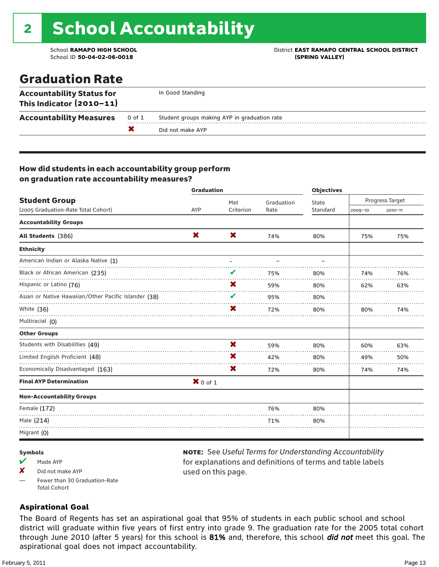# 2 School Accountability

School ID **50-04-02-06-0018 (SPRING VALLEY)**

School **RAMAPO HIGH SCHOOL** District **EAST RAMAPO CENTRAL SCHOOL DISTRICT**

### Graduation Rate

| <b>Accountability Status for</b><br>This Indicator (2010-11) |        | In Good Standing                             |
|--------------------------------------------------------------|--------|----------------------------------------------|
| <b>Accountability Measures</b>                               | 0 of 1 | Student groups making AYP in graduation rate |
|                                                              |        | Did not make AYP                             |

#### How did students in each accountability group perform on graduation rate accountability measures?

|                                                           | <b>Graduation</b> |           |            | <b>Objectives</b> |             |                 |
|-----------------------------------------------------------|-------------------|-----------|------------|-------------------|-------------|-----------------|
| <b>Student Group</b>                                      |                   | Met       | Graduation | State             |             | Progress Target |
| (2005 Graduation-Rate Total Cohort)                       | <b>AYP</b>        | Criterion | Rate       | Standard          | $2009 - 10$ | $2010 - 11$     |
| <b>Accountability Groups</b>                              |                   |           |            |                   |             |                 |
| All Students (386)                                        | X                 | X         | 74%        | 80%               | 75%         | 75%             |
| <b>Ethnicity</b>                                          |                   |           |            |                   |             |                 |
| American Indian or Alaska Native (1)                      |                   |           |            |                   |             |                 |
| Black or African American (235)                           |                   | V         | 75%        | 80%               | 74%         | 76%             |
| Hispanic or Latino (76)                                   |                   | X         | 59%        | 80%               | 62%         | 63%             |
| Asian or Native Hawaiian/Other Pacific Islander (38)<br>. |                   | V         | 95%        | 80%               |             |                 |
| White (36)                                                |                   | X         | 72%        | 80%               | 80%         | 74%             |
| Multiracial (0)                                           |                   |           |            |                   |             |                 |
| <b>Other Groups</b>                                       |                   |           |            |                   |             |                 |
| Students with Disabilities (49)                           |                   | X         | 59%        | 80%               | 60%         | 63%             |
| Limited English Proficient (48)                           |                   | X         | 42%        | 80%               | 49%         | 50%             |
| Economically Disadvantaged (163)                          |                   | X         | 72%        | 80%               | 74%         | 74%             |
| <b>Final AYP Determination</b>                            | $X$ 0 of 1        |           |            |                   |             |                 |
| <b>Non-Accountability Groups</b>                          |                   |           |            |                   |             |                 |
| Female (172)                                              |                   |           | 76%        | 80%               |             |                 |
| Male (214)                                                |                   |           | 71%        | 80%               |             |                 |
| Migrant (0)                                               |                   |           |            |                   |             |                 |

#### Symbols

- Made AYP
- $\boldsymbol{X}$  Did not make AYP
- Fewer than 30 Graduation-Rate Total Cohort

#### note: See *Useful Terms for Understanding Accountability*  for explanations and definitions of terms and table labels used on this page.

#### **Aspirational Goal**

The Board of Regents has set an aspirational goal that 95% of students in each public school and school district will graduate within five years of first entry into grade 9. The graduation rate for the 2005 total cohort through June 2010 (after 5 years) for this school is 81% and, therefore, this school *did not* meet this goal. The aspirational goal does not impact accountability.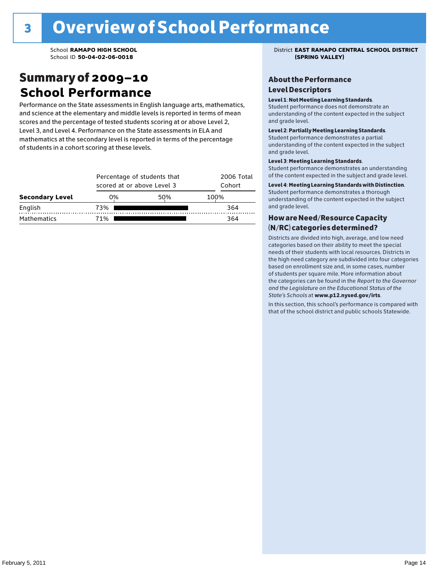### Summary of 2009–10 **School Performance**

Performance on the State assessments in English language arts, mathematics, and science at the elementary and middle levels is reported in terms of mean scores and the percentage of tested students scoring at or above Level 2, Level 3, and Level 4. Performance on the State assessments in ELA and mathematics at the secondary level is reported in terms of the percentage of students in a cohort scoring at these levels.

|                        |     | Percentage of students that<br>scored at or above Level 3 |      |  |  |  |  |
|------------------------|-----|-----------------------------------------------------------|------|--|--|--|--|
| <b>Secondary Level</b> | 0%  | 50%                                                       | 100% |  |  |  |  |
| English                | 73% |                                                           | 364  |  |  |  |  |
| <b>Mathematics</b>     | 71% | 364                                                       |      |  |  |  |  |

School **RAMAPO HIGH SCHOOL** District **EAST RAMAPO CENTRAL SCHOOL DISTRICT**

#### About the Performance Level Descriptors

#### Level 1: Not Meeting Learning Standards.

Student performance does not demonstrate an understanding of the content expected in the subject and grade level.

#### Level 2: Partially Meeting Learning Standards.

Student performance demonstrates a partial understanding of the content expected in the subject and grade level.

#### Level 3: Meeting Learning Standards.

Student performance demonstrates an understanding of the content expected in the subject and grade level.

#### Level 4: Meeting Learning Standards with Distinction.

Student performance demonstrates a thorough understanding of the content expected in the subject and grade level.

#### How are Need/Resource Capacity (N/RC) categories determined?

Districts are divided into high, average, and low need categories based on their ability to meet the special needs of their students with local resources. Districts in the high need category are subdivided into four categories based on enrollment size and, in some cases, number of students per square mile. More information about the categories can be found in the *Report to the Governor and the Legislature on the Educational Status of the*  State's Schools at www.p12.nysed.gov/irts.

In this section, this school's performance is compared with<br>that of the school district and multigarhaals Statemide In this section, this school's performance is compared that of the school district and public schools Statewide.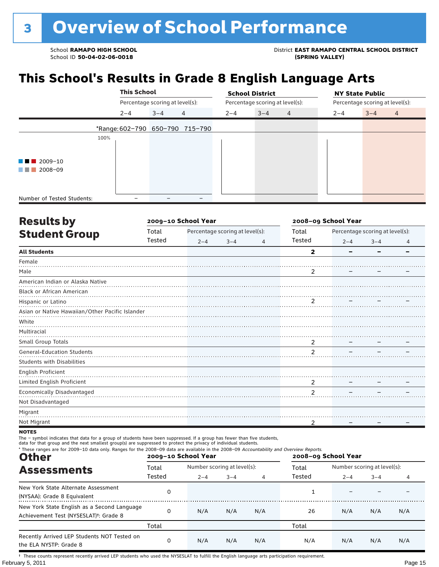School **RAMAPO HIGH SCHOOL**<br>School ID 50-04-02-06-0018<br>
School ID 50-04-02-06-0018

### **This School's Results in Grade 8 English Language Arts**

|                                   |      | <b>This School</b> |                                 |                                 | <b>School District</b> |                                 |                |         | <b>NY State Public</b>          |  |
|-----------------------------------|------|--------------------|---------------------------------|---------------------------------|------------------------|---------------------------------|----------------|---------|---------------------------------|--|
|                                   |      |                    | Percentage scoring at level(s): |                                 |                        | Percentage scoring at level(s): |                |         | Percentage scoring at level(s): |  |
|                                   |      | $2 - 4$            | $3 - 4$                         | 4                               | $2 - 4$                | $3 - 4$                         | $\overline{4}$ | $2 - 4$ | $3 - 4$<br>$\overline{4}$       |  |
|                                   |      |                    |                                 | *Range: 602-790 650-790 715-790 |                        |                                 |                |         |                                 |  |
|                                   | 100% |                    |                                 |                                 |                        |                                 |                |         |                                 |  |
| $\blacksquare$ 2009-10<br>a sa na |      |                    |                                 |                                 |                        |                                 |                |         |                                 |  |
| 2008-09<br>a katika               |      |                    |                                 |                                 |                        |                                 |                |         |                                 |  |
|                                   |      |                    |                                 |                                 |                        |                                 |                |         |                                 |  |
| Number of Tested Students:        |      |                    |                                 |                                 |                        |                                 |                |         |                                 |  |

| <b>Results by</b>                               |        | 2009-10 School Year |                                 |                | 2008-09 School Year     |         |                                 |   |  |
|-------------------------------------------------|--------|---------------------|---------------------------------|----------------|-------------------------|---------|---------------------------------|---|--|
| <b>Student Group</b>                            | Total  |                     | Percentage scoring at level(s): |                | Total                   |         | Percentage scoring at level(s): |   |  |
|                                                 | Tested | $2 - 4$             | $3 - 4$                         | $\overline{4}$ | Tested                  | $2 - 4$ | $3 - 4$                         | 4 |  |
| <b>All Students</b>                             |        |                     |                                 |                | $\overline{\mathbf{2}}$ |         |                                 |   |  |
| Female                                          |        |                     |                                 |                |                         |         |                                 |   |  |
| Male                                            |        |                     |                                 |                | 2                       |         |                                 |   |  |
| American Indian or Alaska Native                |        |                     |                                 |                |                         |         |                                 |   |  |
| <b>Black or African American</b>                |        |                     |                                 |                |                         |         |                                 |   |  |
| Hispanic or Latino                              |        |                     |                                 |                | $\overline{2}$          |         |                                 |   |  |
| Asian or Native Hawaiian/Other Pacific Islander |        |                     |                                 |                |                         |         |                                 |   |  |
| White                                           |        |                     |                                 |                |                         |         |                                 |   |  |
| Multiracial                                     |        |                     |                                 |                |                         |         |                                 |   |  |
| Small Group Totals                              |        |                     |                                 |                | 2                       |         |                                 |   |  |
| <b>General-Education Students</b>               |        |                     |                                 |                | $\overline{2}$          |         |                                 |   |  |
| <b>Students with Disabilities</b>               |        |                     |                                 |                |                         |         |                                 |   |  |
| English Proficient                              |        |                     |                                 |                |                         |         |                                 |   |  |
| Limited English Proficient                      |        |                     |                                 |                | 2                       |         |                                 |   |  |
| Economically Disadvantaged                      |        |                     |                                 |                | $\overline{2}$          |         |                                 |   |  |
| Not Disadvantaged                               |        |                     |                                 |                |                         |         |                                 |   |  |
| Migrant                                         |        |                     |                                 |                |                         |         |                                 |   |  |
| Not Migrant                                     |        |                     |                                 |                | 2                       |         |                                 |   |  |
|                                                 |        |                     |                                 |                |                         |         |                                 |   |  |

**NOTES** 

The – symbol indicates that data for a group of students have been suppressed. If a group has fewer than five students,<br>data for that group and the next smallest group(s) are suppressed to protect the privacy of individual

| * These ranges are for 2009-10 data only. Ranges for the 2008-09 data are available in the 2008-09 Accountability and Overview Reports.<br><b>Other</b> |        | 2009-10 School Year |                             |     | 2008-09 School Year |                             |         |     |
|---------------------------------------------------------------------------------------------------------------------------------------------------------|--------|---------------------|-----------------------------|-----|---------------------|-----------------------------|---------|-----|
| <b>Assessments</b>                                                                                                                                      | Total  |                     | Number scoring at level(s): |     |                     | Number scoring at level(s): |         |     |
|                                                                                                                                                         | Tested | $2 - 4$             | $3 - 4$                     | 4   | Tested              | $2 - 4$                     | $3 - 4$ | 4   |
| New York State Alternate Assessment<br>(NYSAA): Grade 8 Equivalent                                                                                      | 0      |                     |                             |     |                     |                             |         |     |
| New York State English as a Second Language<br>Achievement Test (NYSESLAT) <sup>+</sup> : Grade 8                                                       | 0      | N/A                 | N/A                         | N/A | 26                  | N/A                         | N/A     | N/A |
|                                                                                                                                                         | Total  |                     |                             |     | Total               |                             |         |     |
| Recently Arrived LEP Students NOT Tested on<br>the ELA NYSTP: Grade 8                                                                                   | 0      | N/A                 | N/A                         | N/A | N/A                 | N/A                         | N/A     | N/A |

February 5, 2011 **Page 15** † These counts represent recently arrived LEP students who used the NYSESLAT to fulfill the English language arts participation requirement.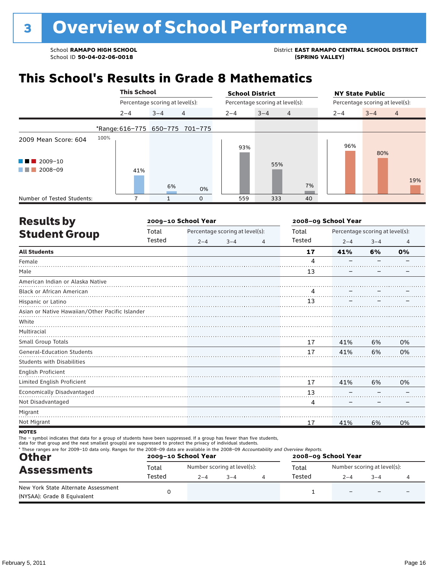School ID 50-04-02-06-0018

School **RAMAPO HIGH SCHOOL**<br>School ID 50-04-02-06-0018<br>
School ID 50-04-02-06-0018

### **This School's Results in Grade 8 Mathematics**

|                             |      | <b>This School</b>              |         |                                 | <b>School District</b> |                                 |                | <b>NY State Public</b> |                                 |                |
|-----------------------------|------|---------------------------------|---------|---------------------------------|------------------------|---------------------------------|----------------|------------------------|---------------------------------|----------------|
|                             |      | Percentage scoring at level(s): |         |                                 |                        | Percentage scoring at level(s): |                |                        | Percentage scoring at level(s): |                |
|                             |      | $2 - 4$                         | $3 - 4$ | $\overline{4}$                  | $2 - 4$                | $3 - 4$                         | $\overline{4}$ | $2 - 4$                | $3 - 4$                         | $\overline{4}$ |
|                             |      |                                 |         | *Range: 616-775 650-775 701-775 |                        |                                 |                |                        |                                 |                |
| 2009 Mean Score: 604        | 100% |                                 |         |                                 | 93%                    |                                 |                | 96%                    | 80%                             |                |
| $\blacksquare$ 2009-10<br>. |      |                                 |         |                                 |                        | 55%                             |                |                        |                                 |                |
| 2008-09<br>a sa tsa         |      | 41%                             | 6%      | 0%                              |                        |                                 | 7%             |                        |                                 | 19%            |
| Number of Tested Students:  |      |                                 |         | $\mathbf 0$                     | 559                    | 333                             | 40             |                        |                                 |                |

| <b>Results by</b>                               |        | 2009-10 School Year |                                 |   | 2008-09 School Year |                                 |         |                |  |
|-------------------------------------------------|--------|---------------------|---------------------------------|---|---------------------|---------------------------------|---------|----------------|--|
| <b>Student Group</b>                            | Total  |                     | Percentage scoring at level(s): |   | Total               | Percentage scoring at level(s): |         |                |  |
|                                                 | Tested | $2 - 4$             | $3 - 4$                         | 4 | Tested              | $2 - 4$                         | $3 - 4$ | $\overline{4}$ |  |
| <b>All Students</b>                             |        |                     |                                 |   | 17                  | 41%                             | 6%      | 0%             |  |
| Female                                          |        |                     |                                 |   | 4                   |                                 |         |                |  |
| Male                                            |        |                     |                                 |   | 13                  |                                 |         |                |  |
| American Indian or Alaska Native                |        |                     |                                 |   |                     |                                 |         |                |  |
| Black or African American                       |        |                     |                                 |   | 4                   |                                 |         |                |  |
| Hispanic or Latino                              |        |                     |                                 |   | 13                  |                                 |         |                |  |
| Asian or Native Hawaiian/Other Pacific Islander |        |                     |                                 |   |                     |                                 |         |                |  |
| White                                           |        |                     |                                 |   |                     |                                 |         |                |  |
| Multiracial                                     |        |                     |                                 |   |                     |                                 |         |                |  |
| Small Group Totals                              |        |                     |                                 |   | 17                  | 41%                             | 6%      | 0%             |  |
| <b>General-Education Students</b>               |        |                     |                                 |   | 17                  | 41%                             | 6%      | 0%             |  |
| <b>Students with Disabilities</b>               |        |                     |                                 |   |                     |                                 |         |                |  |
| English Proficient                              |        |                     |                                 |   |                     |                                 |         |                |  |
| Limited English Proficient                      |        |                     |                                 |   | 17                  | 41%                             | 6%      | 0%             |  |
| Economically Disadvantaged                      |        |                     |                                 |   | 13                  |                                 |         |                |  |
| Not Disadvantaged                               |        |                     |                                 |   | 4                   |                                 |         |                |  |
| Migrant                                         |        |                     |                                 |   |                     |                                 |         |                |  |
| Not Migrant                                     |        |                     |                                 |   | 17                  | 41%                             | 6%      | 0%             |  |
| <b>NOTES</b>                                    |        |                     |                                 |   |                     |                                 |         |                |  |

#### notes

The – symbol indicates that data for a group of students have been suppressed. If a group has fewer than five students,

data for that group and the next smallest group(s) are suppressed to protect the privacy of individual students.

| <b>Other</b><br><b>Assessments</b>                                 |        | 2009-10 School Year |                             | 2008-09 School Year |        |                             |         |  |
|--------------------------------------------------------------------|--------|---------------------|-----------------------------|---------------------|--------|-----------------------------|---------|--|
|                                                                    | Total  |                     | Number scoring at level(s): |                     | Total  | Number scoring at level(s): |         |  |
|                                                                    | Tested | $2 - 4$             | $3 - 4$                     |                     | Tested | $2 - 4$                     | $3 - 4$ |  |
| New York State Alternate Assessment<br>(NYSAA): Grade 8 Equivalent |        |                     |                             |                     |        |                             |         |  |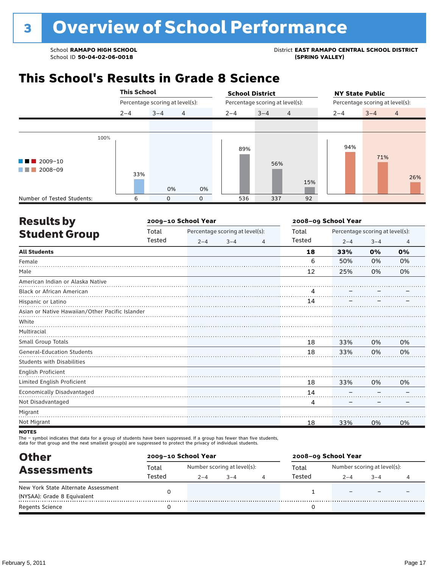School ID 50-04-02-06-0018

### School **RAMAPO HIGH SCHOOL**<br>School ID 50-04-02-06-0018<br>GPRING VALLEY)

### **This School's Results in Grade 8 Science**

|                                           | <b>This School</b> |                                 |                | <b>School District</b> |                                 |     | <b>NY State Public</b>          |                           |     |  |
|-------------------------------------------|--------------------|---------------------------------|----------------|------------------------|---------------------------------|-----|---------------------------------|---------------------------|-----|--|
|                                           |                    | Percentage scoring at level(s): |                |                        | Percentage scoring at level(s): |     | Percentage scoring at level(s): |                           |     |  |
|                                           | $2 - 4$            | $3 - 4$                         | $\overline{4}$ | $2 - 4$                | $3 - 4$<br>$\overline{4}$       |     | $2 - 4$                         | $3 - 4$<br>$\overline{4}$ |     |  |
|                                           |                    |                                 |                |                        |                                 |     |                                 |                           |     |  |
| 100%<br>$\blacksquare$ 2009-10<br>2008-09 | 33%                | 0%                              | 0%             | 89%                    | 56%                             | 15% | 94%                             | 71%                       | 26% |  |
| Number of Tested Students:                | ĥ                  | $\Omega$                        | $\mathbf 0$    | 536                    | 337                             | 92  |                                 |                           |     |  |

| <b>Results by</b>                               |        | 2009-10 School Year |                                 | 2008-09 School Year |        |                                 |         |    |
|-------------------------------------------------|--------|---------------------|---------------------------------|---------------------|--------|---------------------------------|---------|----|
| <b>Student Group</b>                            | Total  |                     | Percentage scoring at level(s): |                     | Total  | Percentage scoring at level(s): |         |    |
|                                                 | Tested | $2 - 4$             | $3 - 4$                         | 4                   | Tested | $2 - 4$                         | $3 - 4$ | 4  |
| <b>All Students</b>                             |        |                     |                                 |                     | 18     | 33%                             | 0%      | 0% |
| Female                                          |        |                     |                                 |                     | 6      | 50%                             | 0%      | 0% |
| Male                                            |        |                     |                                 |                     | 12     | 25%                             | 0%      | 0% |
| American Indian or Alaska Native                |        |                     |                                 |                     |        |                                 |         |    |
| Black or African American                       |        |                     |                                 |                     | 4      |                                 |         |    |
| Hispanic or Latino                              |        |                     |                                 |                     | 14     |                                 |         |    |
| Asian or Native Hawaiian/Other Pacific Islander |        |                     |                                 |                     |        |                                 |         |    |
| White                                           |        |                     |                                 |                     |        |                                 |         |    |
| Multiracial                                     |        |                     |                                 |                     |        |                                 |         |    |
| Small Group Totals                              |        |                     |                                 |                     | 18     | 33%                             | 0%      | 0% |
| <b>General-Education Students</b>               |        |                     |                                 |                     | 18     | 33%                             | 0%      | 0% |
| <b>Students with Disabilities</b>               |        |                     |                                 |                     |        |                                 |         |    |
| <b>English Proficient</b>                       |        |                     |                                 |                     |        |                                 |         |    |
| Limited English Proficient                      |        |                     |                                 |                     | 18     | 33%                             | 0%      | 0% |
| Economically Disadvantaged                      |        |                     |                                 |                     | 14     |                                 |         |    |
| Not Disadvantaged                               |        |                     |                                 |                     | 4      |                                 |         |    |
| Migrant                                         |        |                     |                                 |                     |        |                                 |         |    |
| Not Migrant                                     |        |                     |                                 |                     | 18     | 33%                             | 0%      | 0% |
|                                                 |        |                     |                                 |                     |        |                                 |         |    |

#### **NOTES**

The – symbol indicates that data for a group of students have been suppressed. If a group has fewer than five students,<br>data for that group and the next smallest group(s) are suppressed to protect the privacy of individual

| <b>Other</b>                        |        | 2009-10 School Year         |      |  | 2008-09 School Year |                             |      |  |  |
|-------------------------------------|--------|-----------------------------|------|--|---------------------|-----------------------------|------|--|--|
| <b>Assessments</b>                  | Total  | Number scoring at level(s): |      |  | Total               | Number scoring at level(s): |      |  |  |
|                                     | Tested | $2 - 4$                     | $-4$ |  | Tested              | $2 - 4$                     | $-4$ |  |  |
| New York State Alternate Assessment |        |                             |      |  |                     |                             |      |  |  |
| (NYSAA): Grade 8 Equivalent         |        |                             |      |  |                     |                             |      |  |  |
| <b>Regents Science</b>              |        |                             |      |  |                     |                             |      |  |  |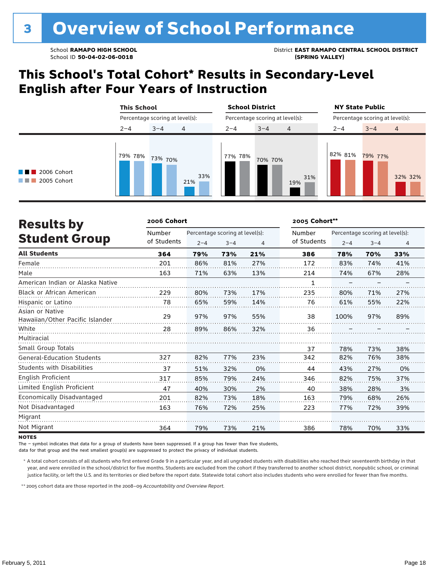School **RAMAPO HIGH SCHOOL** District **EAST RAMAPO CENTRAL SCHOOL DISTRICT**

### **This School's Total Cohort\* Results in Secondary-Level English after Four Years of Instruction**

|                                                  | <b>This School</b> |                                 | <b>School District</b> |                                 | <b>NY State Public</b><br>Percentage scoring at level(s): |                    |  |
|--------------------------------------------------|--------------------|---------------------------------|------------------------|---------------------------------|-----------------------------------------------------------|--------------------|--|
|                                                  |                    | Percentage scoring at level(s): |                        | Percentage scoring at level(s): |                                                           |                    |  |
|                                                  | $2 - 4$            | 4<br>$3 - 4$                    | $2 - 4$                | $3 - 4$<br>$\overline{4}$       | $2 - 4$                                                   | $3 - 4$<br>4       |  |
| $\blacksquare$ 2006 Cohort<br>2005 Cohort<br>. . | 79% 78%            | 73% 70%<br>33%<br>21%           | 77% 78%                | 70% 70%<br>31%<br>19%           | 82% 81%                                                   | 79% 77%<br>32% 32% |  |

| <b>Results by</b>                                  | 2006 Cohort |                                 | 2005 Cohort** |     |             |                                 |         |                |
|----------------------------------------------------|-------------|---------------------------------|---------------|-----|-------------|---------------------------------|---------|----------------|
|                                                    | Number      | Percentage scoring at level(s): |               |     | Number      | Percentage scoring at level(s): |         |                |
| <b>Student Group</b>                               | of Students | $2 - 4$                         | $3 - 4$       | 4   | of Students | $2 - 4$                         | $3 - 4$ | $\overline{4}$ |
| <b>All Students</b>                                | 364         | 79%                             | 73%           | 21% | 386         | 78%                             | 70%     | 33%            |
| Female                                             | 201         | 86%                             | 81%           | 27% | 172         | 83%                             | 74%     | 41%            |
| Male                                               | 163         | 71%                             | 63%           | 13% | 214         | 74%                             | 67%     | 28%            |
| American Indian or Alaska Native                   |             |                                 |               |     | 1           |                                 |         |                |
| Black or African American                          | 229         | 80%                             | 73%           | 17% | 235         | 80%                             | 71%     | 27%            |
| Hispanic or Latino                                 | 78          | 65%                             | 59%           | 14% | 76          | 61%                             | 55%     | 22%            |
| Asian or Native<br>Hawaiian/Other Pacific Islander | 29          | 97%                             | 97%           | 55% | 38          | 100%                            | 97%     | 89%            |
| White                                              | 28          | 89%                             | 86%           | 32% | 36          |                                 |         |                |
| Multiracial                                        |             |                                 |               |     |             |                                 |         |                |
| Small Group Totals                                 |             |                                 |               |     | 37          | 78%                             | 73%     | 38%            |
| <b>General-Education Students</b>                  | 327         | 82%                             | 77%           | 23% | 342         | 82%                             | 76%     | 38%            |
| <b>Students with Disabilities</b>                  | 37          | 51%                             | 32%           | 0%  | 44          | 43%                             | 27%     | 0%             |
| <b>English Proficient</b>                          | 317         | 85%                             | 79%           | 24% | 346         | 82%                             | 75%     | 37%            |
| Limited English Proficient                         | 47          | 40%                             | 30%           | 2%  | 40          | 38%                             | 28%     | 3%             |
| Economically Disadvantaged                         | 201         | 82%                             | 73%           | 18% | 163         | 79%                             | 68%     | 26%            |
| Not Disadvantaged                                  | 163         | 76%                             | 72%           | 25% | 223         | 77%                             | 72%     | 39%            |
| Migrant                                            |             |                                 |               |     |             |                                 |         |                |
| Not Migrant                                        | 364         | 79%                             | 73%           | 21% | 386         | 78%                             | 70%     | 33%            |

#### **NOTES**

The – symbol indicates that data for a group of students have been suppressed. If a group has fewer than five students,

data for that group and the next smallest group(s) are suppressed to protect the privacy of individual students.

 \* A total cohort consists of all students who first entered Grade 9 in a particular year, and all ungraded students with disabilities who reached their seventeenth birthday in that year, and were enrolled in the school/district for five months. Students are excluded from the cohort if they transferred to another school district, nonpublic school, or criminal justice facility, or left the U.S. and its territories or died before the report date. Statewide total cohort also includes students who were enrolled for fewer than five months.

\*\* 2005 cohort data are those reported in the 2008–09 *Accountability and Overview Report*.